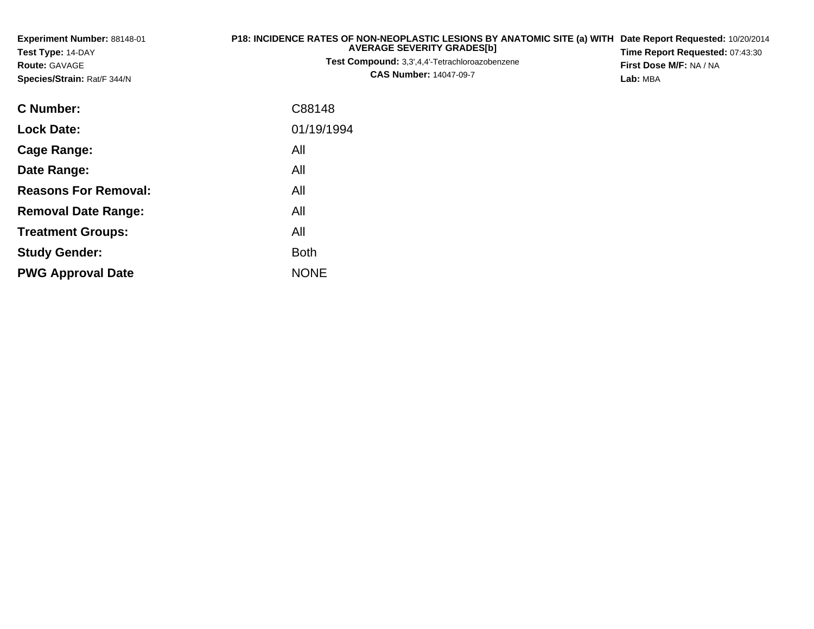| P18: INCIDENCE RATES OF NON-NEOPLASTIC LESIONS BY ANATOMIC SITE (a) WITH<br>Experiment Number: 88148-01<br><b>AVERAGE SEVERITY GRADES[b]</b><br>Test Type: 14-DAY<br>Test Compound: 3,3',4,4'-Tetrachloroazobenzene<br><b>Route: GAVAGE</b><br><b>CAS Number: 14047-09-7</b><br>Species/Strain: Rat/F 344/N |             | Date Report Requested: 10/20/2014<br>Time Report Requested: 07:43:30<br>First Dose M/F: NA / NA<br>Lab: MBA |
|-------------------------------------------------------------------------------------------------------------------------------------------------------------------------------------------------------------------------------------------------------------------------------------------------------------|-------------|-------------------------------------------------------------------------------------------------------------|
| <b>C</b> Number:                                                                                                                                                                                                                                                                                            | C88148      |                                                                                                             |
| <b>Lock Date:</b>                                                                                                                                                                                                                                                                                           | 01/19/1994  |                                                                                                             |
| <b>Cage Range:</b>                                                                                                                                                                                                                                                                                          | All         |                                                                                                             |
| Date Range:                                                                                                                                                                                                                                                                                                 | All         |                                                                                                             |
| <b>Reasons For Removal:</b>                                                                                                                                                                                                                                                                                 | All         |                                                                                                             |
| <b>Removal Date Range:</b>                                                                                                                                                                                                                                                                                  | All         |                                                                                                             |
| <b>Treatment Groups:</b>                                                                                                                                                                                                                                                                                    | All         |                                                                                                             |
| <b>Study Gender:</b>                                                                                                                                                                                                                                                                                        | <b>Both</b> |                                                                                                             |
| <b>PWG Approval Date</b>                                                                                                                                                                                                                                                                                    | <b>NONE</b> |                                                                                                             |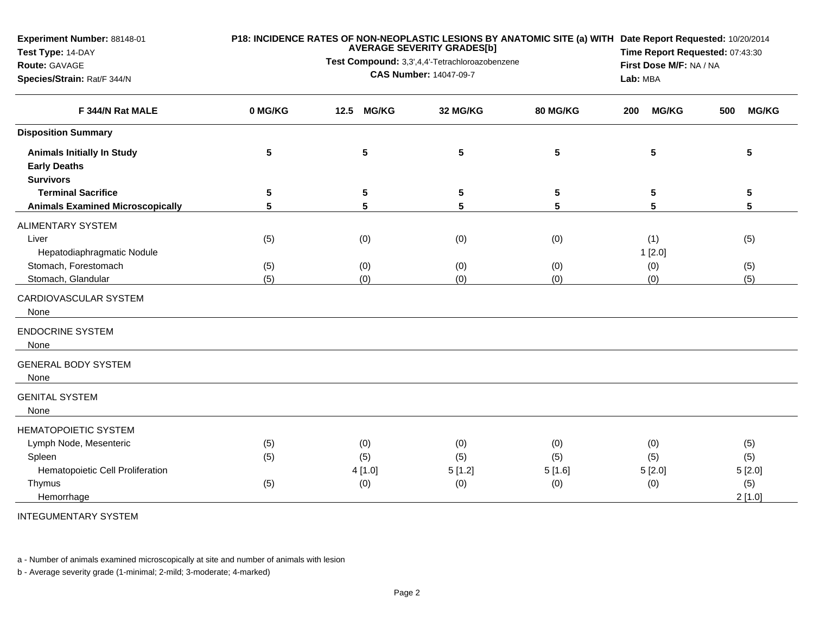| Experiment Number: 88148-01                              | P18: INCIDENCE RATES OF NON-NEOPLASTIC LESIONS BY ANATOMIC SITE (a) WITH Date Report Requested: 10/20/2014<br><b>AVERAGE SEVERITY GRADES[b]</b> |                                                                                 |          |                         |                     |                     |  |  |
|----------------------------------------------------------|-------------------------------------------------------------------------------------------------------------------------------------------------|---------------------------------------------------------------------------------|----------|-------------------------|---------------------|---------------------|--|--|
| Test Type: 14-DAY                                        |                                                                                                                                                 | Time Report Requested: 07:43:30<br>First Dose M/F: NA / NA                      |          |                         |                     |                     |  |  |
| Route: GAVAGE                                            |                                                                                                                                                 | Test Compound: 3,3',4,4'-Tetrachloroazobenzene<br><b>CAS Number: 14047-09-7</b> |          |                         |                     |                     |  |  |
| Species/Strain: Rat/F 344/N                              |                                                                                                                                                 |                                                                                 |          |                         | Lab: MBA            |                     |  |  |
| F 344/N Rat MALE                                         | 0 MG/KG                                                                                                                                         | 12.5<br><b>MG/KG</b>                                                            | 32 MG/KG | 80 MG/KG                | <b>MG/KG</b><br>200 | <b>MG/KG</b><br>500 |  |  |
| <b>Disposition Summary</b>                               |                                                                                                                                                 |                                                                                 |          |                         |                     |                     |  |  |
| <b>Animals Initially In Study</b><br><b>Early Deaths</b> | 5                                                                                                                                               | 5                                                                               | 5        | $\overline{\mathbf{5}}$ | 5                   | 5                   |  |  |
| <b>Survivors</b><br><b>Terminal Sacrifice</b>            |                                                                                                                                                 |                                                                                 |          |                         | 5                   |                     |  |  |
| <b>Animals Examined Microscopically</b>                  | 5<br>5                                                                                                                                          | 5<br>5                                                                          | 5<br>5   | 5<br>5                  | 5                   | 5<br>5              |  |  |
|                                                          |                                                                                                                                                 |                                                                                 |          |                         |                     |                     |  |  |
| <b>ALIMENTARY SYSTEM</b>                                 |                                                                                                                                                 |                                                                                 |          |                         |                     |                     |  |  |
| Liver                                                    | (5)                                                                                                                                             | (0)                                                                             | (0)      | (0)                     | (1)                 | (5)                 |  |  |
| Hepatodiaphragmatic Nodule                               |                                                                                                                                                 |                                                                                 |          |                         | 1[2.0]              |                     |  |  |
| Stomach, Forestomach                                     | (5)                                                                                                                                             | (0)                                                                             | (0)      | (0)                     | (0)                 | (5)                 |  |  |
| Stomach, Glandular                                       | (5)                                                                                                                                             | (0)                                                                             | (0)      | (0)                     | (0)                 | (5)                 |  |  |
| CARDIOVASCULAR SYSTEM<br>None                            |                                                                                                                                                 |                                                                                 |          |                         |                     |                     |  |  |
| <b>ENDOCRINE SYSTEM</b><br>None                          |                                                                                                                                                 |                                                                                 |          |                         |                     |                     |  |  |
| <b>GENERAL BODY SYSTEM</b><br>None                       |                                                                                                                                                 |                                                                                 |          |                         |                     |                     |  |  |
| <b>GENITAL SYSTEM</b><br>None                            |                                                                                                                                                 |                                                                                 |          |                         |                     |                     |  |  |
| <b>HEMATOPOIETIC SYSTEM</b>                              |                                                                                                                                                 |                                                                                 |          |                         |                     |                     |  |  |
| Lymph Node, Mesenteric                                   | (5)                                                                                                                                             | (0)                                                                             | (0)      | (0)                     | (0)                 | (5)                 |  |  |
| Spleen                                                   | (5)                                                                                                                                             | (5)                                                                             | (5)      | (5)                     | (5)                 | (5)                 |  |  |
| Hematopoietic Cell Proliferation                         |                                                                                                                                                 | 4 [1.0]                                                                         | 5[1.2]   | 5[1.6]                  | 5[2.0]              | 5[2.0]              |  |  |
| Thymus                                                   | (5)                                                                                                                                             | (0)                                                                             | (0)      | (0)                     | (0)                 | (5)                 |  |  |
| Hemorrhage                                               |                                                                                                                                                 |                                                                                 |          |                         |                     | 2[1.0]              |  |  |

INTEGUMENTARY SYSTEM

a - Number of animals examined microscopically at site and number of animals with lesion

b - Average severity grade (1-minimal; 2-mild; 3-moderate; 4-marked)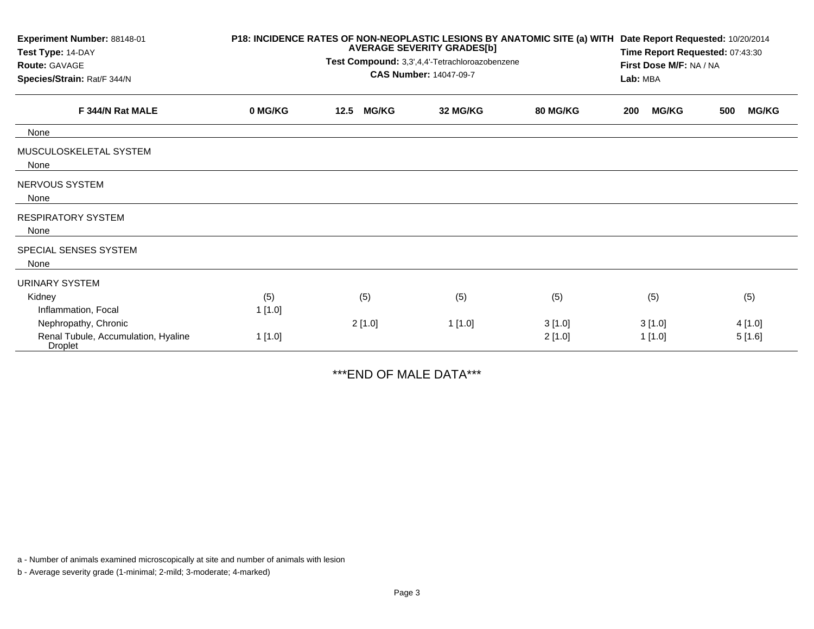| Experiment Number: 88148-01<br>Test Type: 14-DAY<br>Route: GAVAGE<br>Species/Strain: Rat/F 344/N | P18: INCIDENCE RATES OF NON-NEOPLASTIC LESIONS BY ANATOMIC SITE (a) WITH<br><b>AVERAGE SEVERITY GRADES[b]</b><br>Test Compound: 3,3',4,4'-Tetrachloroazobenzene<br><b>CAS Number: 14047-09-7</b> |        |              |          |                 | Date Report Requested: 10/20/2014<br>Time Report Requested: 07:43:30<br>First Dose M/F: NA / NA<br>Lab: MBA |              |     |              |
|--------------------------------------------------------------------------------------------------|--------------------------------------------------------------------------------------------------------------------------------------------------------------------------------------------------|--------|--------------|----------|-----------------|-------------------------------------------------------------------------------------------------------------|--------------|-----|--------------|
| F 344/N Rat MALE                                                                                 | 0 MG/KG                                                                                                                                                                                          | 12.5   | <b>MG/KG</b> | 32 MG/KG | <b>80 MG/KG</b> | 200                                                                                                         | <b>MG/KG</b> | 500 | <b>MG/KG</b> |
| None                                                                                             |                                                                                                                                                                                                  |        |              |          |                 |                                                                                                             |              |     |              |
| MUSCULOSKELETAL SYSTEM<br>None                                                                   |                                                                                                                                                                                                  |        |              |          |                 |                                                                                                             |              |     |              |
| NERVOUS SYSTEM<br>None                                                                           |                                                                                                                                                                                                  |        |              |          |                 |                                                                                                             |              |     |              |
| <b>RESPIRATORY SYSTEM</b><br>None                                                                |                                                                                                                                                                                                  |        |              |          |                 |                                                                                                             |              |     |              |
| SPECIAL SENSES SYSTEM<br>None                                                                    |                                                                                                                                                                                                  |        |              |          |                 |                                                                                                             |              |     |              |
| <b>URINARY SYSTEM</b>                                                                            |                                                                                                                                                                                                  |        |              |          |                 |                                                                                                             |              |     |              |
| Kidney<br>Inflammation, Focal                                                                    | (5)<br>1 [1.0]                                                                                                                                                                                   | (5)    |              | (5)      | (5)             |                                                                                                             | (5)          |     | (5)          |
| Nephropathy, Chronic                                                                             |                                                                                                                                                                                                  | 2[1.0] |              | 1[1.0]   | 3[1.0]          |                                                                                                             | 3[1.0]       |     | 4 [1.0]      |
| Renal Tubule, Accumulation, Hyaline<br><b>Droplet</b>                                            | 1 [1.0]                                                                                                                                                                                          |        |              |          | 2[1.0]          |                                                                                                             | 1 [1.0]      |     | 5[1.6]       |

\*\*\*END OF MALE DATA\*\*\*

a - Number of animals examined microscopically at site and number of animals with lesion

b - Average severity grade (1-minimal; 2-mild; 3-moderate; 4-marked)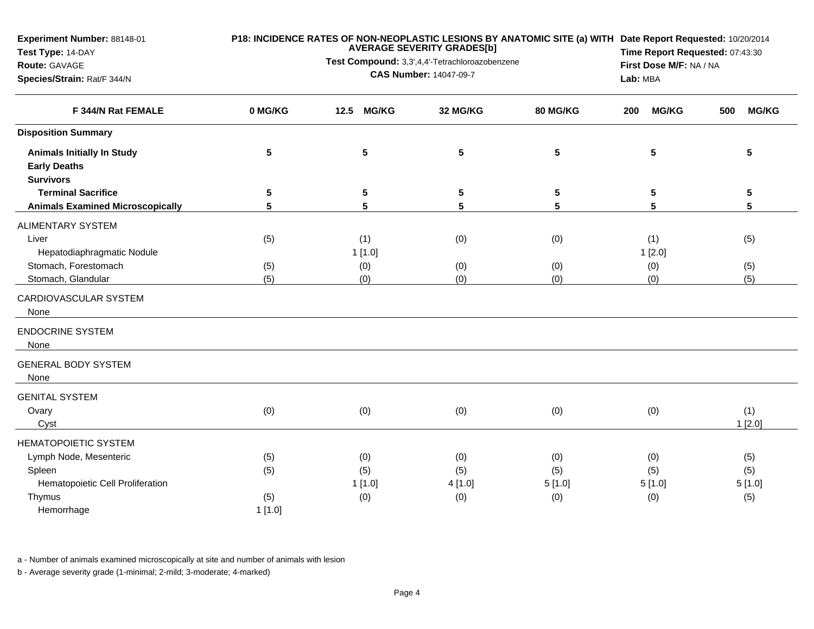| <b>Experiment Number: 88148-01</b><br>Test Type: 14-DAY<br>Route: GAVAGE<br>Species/Strain: Rat/F 344/N |                   | <b>AVERAGE SEVERITY GRADES[b]</b><br>Test Compound: 3,3',4,4'-Tetrachloroazobenzene<br><b>CAS Number: 14047-09-7</b> | Lab: MBA                     | P18: INCIDENCE RATES OF NON-NEOPLASTIC LESIONS BY ANATOMIC SITE (a) WITH Date Report Requested: 10/20/2014<br>Time Report Requested: 07:43:30<br>First Dose M/F: NA / NA |                             |                             |
|---------------------------------------------------------------------------------------------------------|-------------------|----------------------------------------------------------------------------------------------------------------------|------------------------------|--------------------------------------------------------------------------------------------------------------------------------------------------------------------------|-----------------------------|-----------------------------|
| F 344/N Rat FEMALE                                                                                      | 0 MG/KG           | <b>MG/KG</b><br>12.5                                                                                                 | 32 MG/KG                     | 80 MG/KG                                                                                                                                                                 | <b>MG/KG</b><br>200         | <b>MG/KG</b><br>500         |
| <b>Disposition Summary</b>                                                                              |                   |                                                                                                                      |                              |                                                                                                                                                                          |                             |                             |
| <b>Animals Initially In Study</b><br><b>Early Deaths</b><br><b>Survivors</b>                            | 5                 | 5                                                                                                                    | 5                            | $\overline{\mathbf{5}}$                                                                                                                                                  | $5\phantom{.0}$             | 5                           |
| <b>Terminal Sacrifice</b>                                                                               | 5                 | 5                                                                                                                    | 5                            | 5                                                                                                                                                                        | 5                           | 5                           |
| <b>Animals Examined Microscopically</b>                                                                 | 5                 | 5                                                                                                                    | 5                            | 5                                                                                                                                                                        | 5                           | 5                           |
| <b>ALIMENTARY SYSTEM</b><br>Liver<br>Hepatodiaphragmatic Nodule                                         | (5)               | (1)<br>1[1.0]                                                                                                        | (0)                          | (0)                                                                                                                                                                      | (1)<br>1[2.0]               | (5)                         |
| Stomach, Forestomach<br>Stomach, Glandular                                                              | (5)<br>(5)        | (0)<br>(0)                                                                                                           | (0)<br>(0)                   | (0)<br>(0)                                                                                                                                                               | (0)<br>(0)                  | (5)<br>(5)                  |
| CARDIOVASCULAR SYSTEM<br>None<br><b>ENDOCRINE SYSTEM</b>                                                |                   |                                                                                                                      |                              |                                                                                                                                                                          |                             |                             |
| None                                                                                                    |                   |                                                                                                                      |                              |                                                                                                                                                                          |                             |                             |
| <b>GENERAL BODY SYSTEM</b><br>None                                                                      |                   |                                                                                                                      |                              |                                                                                                                                                                          |                             |                             |
| <b>GENITAL SYSTEM</b><br>Ovary<br>Cyst                                                                  | (0)               | (0)                                                                                                                  | (0)                          | (0)                                                                                                                                                                      | (0)                         | (1)<br>1[2.0]               |
| <b>HEMATOPOIETIC SYSTEM</b>                                                                             |                   |                                                                                                                      |                              |                                                                                                                                                                          |                             |                             |
| Lymph Node, Mesenteric<br>Spleen<br>Hematopoietic Cell Proliferation<br>Thymus                          | (5)<br>(5)<br>(5) | (0)<br>(5)<br>1[1.0]<br>(0)                                                                                          | (0)<br>(5)<br>4 [1.0]<br>(0) | (0)<br>(5)<br>5[1.0]<br>(0)                                                                                                                                              | (0)<br>(5)<br>5[1.0]<br>(0) | (5)<br>(5)<br>5[1.0]<br>(5) |
| Hemorrhage                                                                                              | 1[1.0]            |                                                                                                                      |                              |                                                                                                                                                                          |                             |                             |

a - Number of animals examined microscopically at site and number of animals with lesion

b - Average severity grade (1-minimal; 2-mild; 3-moderate; 4-marked)

**Experiment Number:** 88148-01